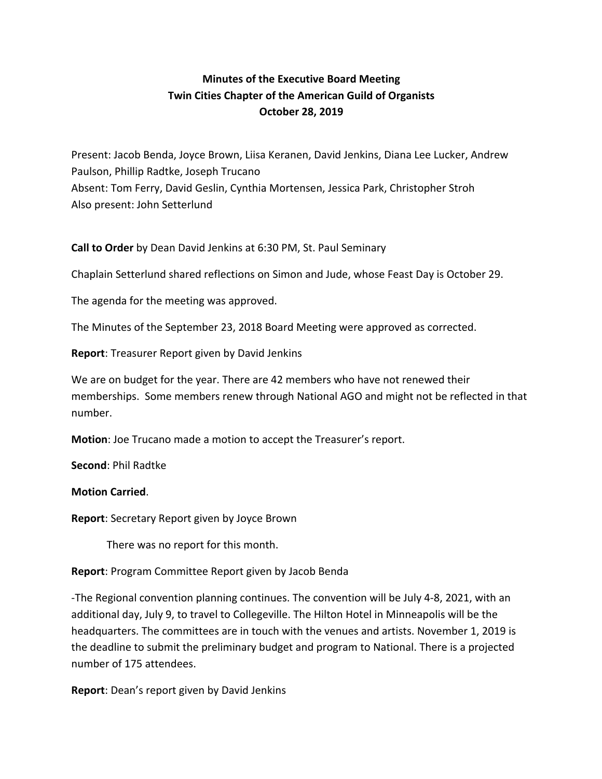# **Minutes of the Executive Board Meeting Twin Cities Chapter of the American Guild of Organists October 28, 2019**

Present: Jacob Benda, Joyce Brown, Liisa Keranen, David Jenkins, Diana Lee Lucker, Andrew Paulson, Phillip Radtke, Joseph Trucano Absent: Tom Ferry, David Geslin, Cynthia Mortensen, Jessica Park, Christopher Stroh Also present: John Setterlund

**Call to Order** by Dean David Jenkins at 6:30 PM, St. Paul Seminary

Chaplain Setterlund shared reflections on Simon and Jude, whose Feast Day is October 29.

The agenda for the meeting was approved.

The Minutes of the September 23, 2018 Board Meeting were approved as corrected.

**Report**: Treasurer Report given by David Jenkins

We are on budget for the year. There are 42 members who have not renewed their memberships. Some members renew through National AGO and might not be reflected in that number.

**Motion**: Joe Trucano made a motion to accept the Treasurer's report.

**Second**: Phil Radtke

### **Motion Carried**.

**Report**: Secretary Report given by Joyce Brown

There was no report for this month.

**Report**: Program Committee Report given by Jacob Benda

-The Regional convention planning continues. The convention will be July 4-8, 2021, with an additional day, July 9, to travel to Collegeville. The Hilton Hotel in Minneapolis will be the headquarters. The committees are in touch with the venues and artists. November 1, 2019 is the deadline to submit the preliminary budget and program to National. There is a projected number of 175 attendees.

**Report**: Dean's report given by David Jenkins